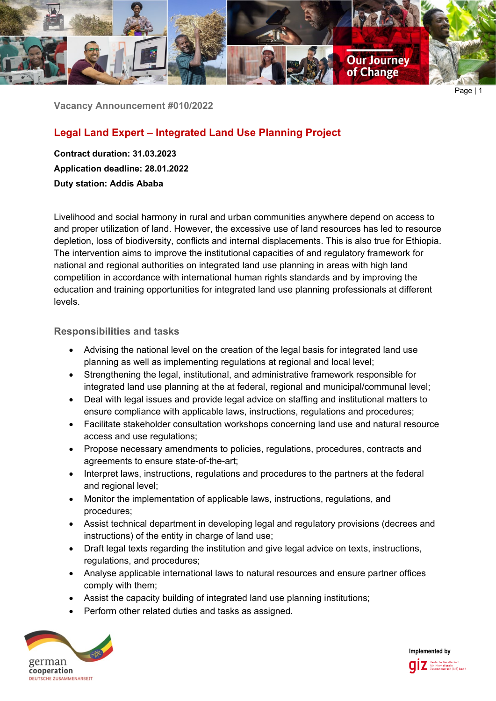

**Vacancy Announcement #010/2022**

# **Legal Land Expert – Integrated Land Use Planning Project**

**Contract duration: 31.03.2023 Application deadline: 28.01.2022 Duty station: Addis Ababa**

Livelihood and social harmony in rural and urban communities anywhere depend on access to and proper utilization of land. However, the excessive use of land resources has led to resource depletion, loss of biodiversity, conflicts and internal displacements. This is also true for Ethiopia. The intervention aims to improve the institutional capacities of and regulatory framework for national and regional authorities on integrated land use planning in areas with high land competition in accordance with international human rights standards and by improving the education and training opportunities for integrated land use planning professionals at different levels.

# **Responsibilities and tasks**

- Advising the national level on the creation of the legal basis for integrated land use planning as well as implementing regulations at regional and local level;
- Strengthening the legal, institutional, and administrative framework responsible for integrated land use planning at the at federal, regional and municipal/communal level;
- Deal with legal issues and provide legal advice on staffing and institutional matters to ensure compliance with applicable laws, instructions, regulations and procedures;
- Facilitate stakeholder consultation workshops concerning land use and natural resource access and use regulations;
- Propose necessary amendments to policies, regulations, procedures, contracts and agreements to ensure state-of-the-art;
- Interpret laws, instructions, regulations and procedures to the partners at the federal and regional level;
- Monitor the implementation of applicable laws, instructions, regulations, and procedures;
- Assist technical department in developing legal and regulatory provisions (decrees and instructions) of the entity in charge of land use;
- Draft legal texts regarding the institution and give legal advice on texts, instructions, regulations, and procedures;
- Analyse applicable international laws to natural resources and ensure partner offices comply with them;
- Assist the capacity building of integrated land use planning institutions;
- Perform other related duties and tasks as assigned.



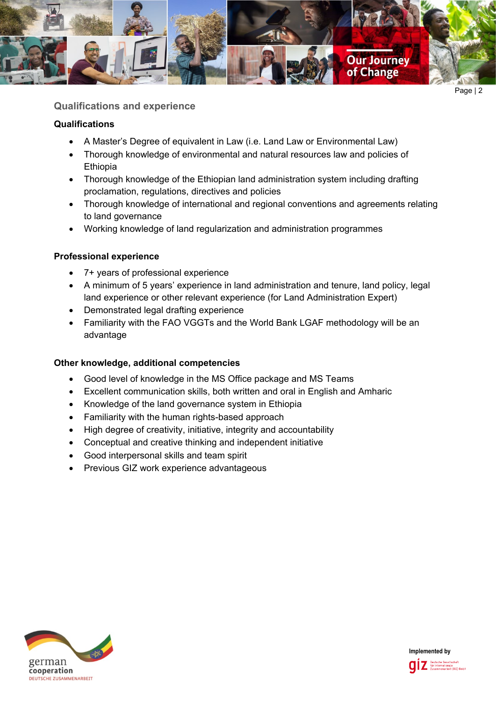

**Qualifications and experience**

# **Qualifications**

- A Master's Degree of equivalent in Law (i.e. Land Law or Environmental Law)
- Thorough knowledge of environmental and natural resources law and policies of Ethiopia
- Thorough knowledge of the Ethiopian land administration system including drafting proclamation, regulations, directives and policies
- Thorough knowledge of international and regional conventions and agreements relating to land governance
- Working knowledge of land regularization and administration programmes

### **Professional experience**

- 7+ years of professional experience
- A minimum of 5 years' experience in land administration and tenure, land policy, legal land experience or other relevant experience (for Land Administration Expert)
- Demonstrated legal drafting experience
- Familiarity with the FAO VGGTs and the World Bank LGAF methodology will be an advantage

#### **Other knowledge, additional competencies**

- Good level of knowledge in the MS Office package and MS Teams
- Excellent communication skills, both written and oral in English and Amharic
- Knowledge of the land governance system in Ethiopia
- Familiarity with the human rights-based approach
- High degree of creativity, initiative, integrity and accountability
- Conceptual and creative thinking and independent initiative
- Good interpersonal skills and team spirit
- Previous GIZ work experience advantageous